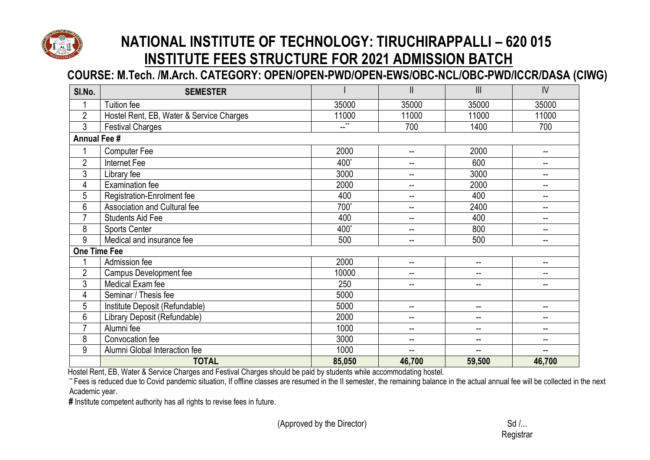

## **COURSE: M.Tech. /M.Arch. CATEGORY: OPEN/OPEN-PWD/OPEN-EWS/OBC-NCL/OBC-PWD/ICCR/DASA (CIWG)**

| SI.No.              | <b>SEMESTER</b>                          |                | $\mathbf{II}$            | $\mathbf{III}$           | IV                       |  |
|---------------------|------------------------------------------|----------------|--------------------------|--------------------------|--------------------------|--|
|                     | Tuition fee                              | 35000          | 35000                    | 35000                    | 35000                    |  |
| $\overline{2}$      | Hostel Rent, EB, Water & Service Charges | 11000          | 11000                    | 11000                    | 11000                    |  |
| $\mathfrak{Z}$      | <b>Festival Charges</b>                  | $\overline{a}$ | 700                      | 1400                     | 700                      |  |
| <b>Annual Fee #</b> |                                          |                |                          |                          |                          |  |
|                     | <b>Computer Fee</b>                      | 2000           | $\overline{\phantom{a}}$ | 2000                     | $\overline{\phantom{a}}$ |  |
| $\overline{2}$      | Internet Fee                             | 400*           | --                       | 600                      | --                       |  |
| 3                   | Library fee                              | 3000           | --                       | 3000                     |                          |  |
| 4                   | <b>Examination fee</b>                   | 2000           | --                       | 2000                     | --                       |  |
| 5                   | Registration-Enrolment fee               | 400            | $\mathbf{u}$             | 400                      | $-$                      |  |
| 6                   | Association and Cultural fee             | 700*           | --                       | 2400                     | --                       |  |
| $\overline{7}$      | <b>Students Aid Fee</b>                  | 400            | $\overline{\phantom{a}}$ | 400                      | $\overline{\phantom{a}}$ |  |
| 8                   | <b>Sports Center</b>                     | 400*           | $\mathbf{u}$             | 800                      | $\sim$ $\sim$            |  |
| 9                   | Medical and insurance fee                | 500            | $\overline{\phantom{m}}$ | 500                      | $\overline{\phantom{m}}$ |  |
| <b>One Time Fee</b> |                                          |                |                          |                          |                          |  |
|                     | Admission fee                            | 2000           | $\overline{\phantom{a}}$ | $\overline{\phantom{a}}$ | $-$                      |  |
| $\overline{2}$      | <b>Campus Development fee</b>            | 10000          | --                       | --                       |                          |  |
| $\mathfrak{Z}$      | Medical Exam fee                         | 250            | --                       | --                       | --                       |  |
| 4                   | Seminar / Thesis fee                     | 5000           |                          |                          |                          |  |
| $\overline{5}$      | Institute Deposit (Refundable)           | 5000           | $\overline{\phantom{a}}$ | --                       | $\sim$ $\sim$            |  |
| 6                   | Library Deposit (Refundable)             | 2000           | $\overline{\phantom{a}}$ | --                       | $-$                      |  |
| $\overline{7}$      | Alumni fee                               | 1000           | $\overline{\phantom{m}}$ | $-$                      | $\sim$ $\sim$            |  |
| 8                   | Convocation fee                          | 3000           | $\overline{\phantom{a}}$ | --                       | $\sim$                   |  |
| 9                   | Alumni Global Interaction fee            | 1000           | --                       | --                       | --                       |  |
|                     | <b>TOTAL</b>                             | 85,050         | 46,700                   | 59,500                   | 46,700                   |  |

Hostel Rent, EB, Water & Service Charges and Festival Charges should be paid by students while accommodating hostel.

\*\* Fees is reduced due to Covid pandemic situation, If offline classes are resumed in the II semester, the remaining balance in the actual annual fee will be collected in the next Academic year.

**#** Institute competent authority has all rights to revise fees in future.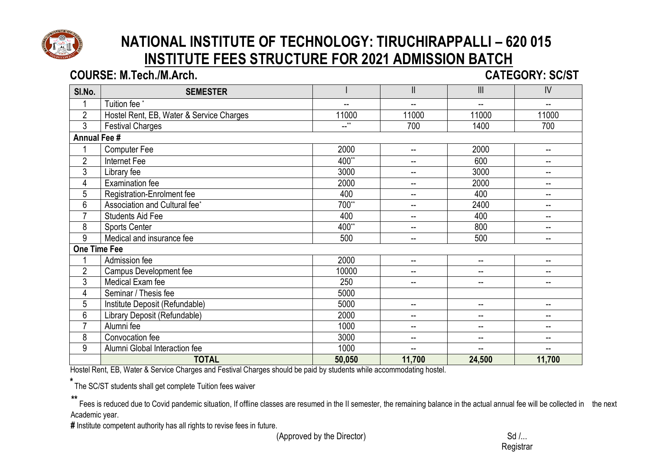

#### **COURSE: M.Tech./M.Arch. CATEGORY: SC/ST**

| SI.No.              | <b>SEMESTER</b>                          |        | $\mathbf{II}$            | $\begin{array}{c} \hline \end{array}$ | $\mathsf{IV}$            |  |
|---------------------|------------------------------------------|--------|--------------------------|---------------------------------------|--------------------------|--|
|                     | Tuition fee <sup>*</sup>                 | --     | --                       | --                                    | $- -$                    |  |
| $\overline{2}$      | Hostel Rent, EB, Water & Service Charges | 11000  | 11000                    | 11000                                 | 11000                    |  |
| 3                   | <b>Festival Charges</b>                  | $-$ ** | 700                      | 1400                                  | 700                      |  |
| <b>Annual Fee #</b> |                                          |        |                          |                                       |                          |  |
|                     | <b>Computer Fee</b>                      | 2000   | $-$                      | 2000                                  | $-$                      |  |
| $\overline{2}$      | Internet Fee                             | 400**  | $-$                      | 600                                   | $-$                      |  |
| 3                   | Library fee                              | 3000   | $-$                      | 3000                                  | $-$                      |  |
| 4                   | <b>Examination fee</b>                   | 2000   | $\overline{\phantom{a}}$ | 2000                                  | $-$                      |  |
| 5                   | Registration-Enrolment fee               | 400    | $-$                      | 400                                   | $- -$                    |  |
| 6                   | Association and Cultural fee*            | 700**  | $-$                      | 2400                                  | $-$                      |  |
| $\overline{7}$      | <b>Students Aid Fee</b>                  | 400    | --                       | 400                                   | --                       |  |
| 8                   | <b>Sports Center</b>                     | 400**  | $-$                      | 800                                   | $- -$                    |  |
| 9                   | Medical and insurance fee                | 500    | --                       | 500                                   | $\mathbf{u}$             |  |
| One Time Fee        |                                          |        |                          |                                       |                          |  |
|                     | Admission fee                            | 2000   | --                       | --                                    | $- -$                    |  |
| $\overline{2}$      | Campus Development fee                   | 10000  | $-$                      | --                                    | $-$                      |  |
| 3                   | Medical Exam fee                         | 250    | --                       | --                                    |                          |  |
| 4                   | Seminar / Thesis fee                     | 5000   |                          |                                       |                          |  |
| 5                   | Institute Deposit (Refundable)           | 5000   | $-$                      | $\overline{\phantom{a}}$              | $\overline{\phantom{a}}$ |  |
| 6                   | Library Deposit (Refundable)             | 2000   | --                       | --                                    | $-$                      |  |
| $\overline{7}$      | Alumni fee                               | 1000   | $\overline{\phantom{a}}$ | --                                    | $-$                      |  |
| 8                   | Convocation fee                          | 3000   | $-$                      | --                                    | $-$                      |  |
| 9                   | Alumni Global Interaction fee            | 1000   | --                       | --                                    | $- -$                    |  |
|                     | <b>TOTAL</b>                             | 50,050 | 11,700                   | 24,500                                | 11,700                   |  |

Hostel Rent, EB, Water & Service Charges and Festival Charges should be paid by students while accommodating hostel.

 **\*** The SC/ST students shall get complete Tuition fees waiver

 **\*\*** Fees is reduced due to Covid pandemic situation, If offline classes are resumed in the II semester, the remaining balance in the actual annual fee will be collected in the next Academic year.

**#** Institute competent authority has all rights to revise fees in future.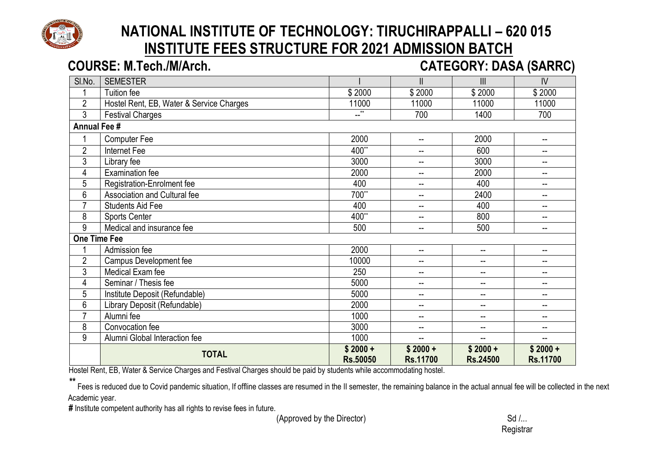

#### **COURSE: M.Tech./M/Arch.** *COURSE: M.Tech./M/Arch.* **<b>CATEGORY: DASA (SARRC)** Sl.No. SEMESTER I II III IV 1 | Tuition fee | \$ 2000 | \$ 2000 | \$ 2000 | \$ 2000 11000 11000 11000 11000 11000 11000 11000 11000 11000 11000 11000 11000 11000 11000 11000 11000 11000 11000 11000 11000 11000 11000 11000 11000 11000 11000 11000 11000 11000 11000 11000 11000 11000 11000 11000 11000 11000 3 Festival Charges --\*\* 700 1400 700 **Annual Fee #** 1 Computer Fee 2000 -- 2000 -- 2 Internet Fee 400\*\* -- 600 -- 3 Library fee 3000 -- 3000 -- 4 Examination fee 2000 -- 2000 -- 5 Registration-Enrolment fee 400 400 -- 400 -- 400 --6 Association and Cultural fee 2400  $\vert$  700<sup>\*\*</sup>  $\vert$  -- 2400  $\vert$  --Providents Aid Fee 400 -- 400 -- 400 -- 400 -- 400 -- 5 Apple 1 Apple 1 Apple 1 Apple 1 Apple 1 Apple 1 Apple 1 Apple 1 Apple 1 Apple 1 Apple 1 Apple 1 Apple 1 Apple 1 Apple 1 Apple 1 Apple 1 Apple 1 Apple 1 Apple 1 Apple 8 Sports Center 400\*\* -- 800 -- 9 Medical and insurance fee  $\overline{500}$  500 -- 500 -- 500 --**One Time Fee** 1 Admission fee 2000 -- -- -- 2 Campus Development fee 10000 -- -- -- 3 Medical Exam fee 250 -- -- -- 4 Seminar / Thesis fee 5000 -- -- -- 5 Institute Deposit (Refundable) 5000 -- -- -- 6 Library Deposit (Refundable) 2000 -- -- -- 7 Alumni fee 1000 -- -- -- 8 Convocation fee 3000 -- -- -- 9 Alumni Global Interaction fee 1000 -- -- -- **TOTAL \$ 2000 + Rs.50050 \$ 2000 + Rs.11700 \$ 2000 + Rs.24500 \$ 2000 + Rs.11700**

Hostel Rent, EB, Water & Service Charges and Festival Charges should be paid by students while accommodating hostel.

Fees is reduced due to Covid pandemic situation, If offline classes are resumed in the II semester, the remaining balance in the actual annual fee will be collected in the next Academic year.

**#** Institute competent authority has all rights to revise fees in future.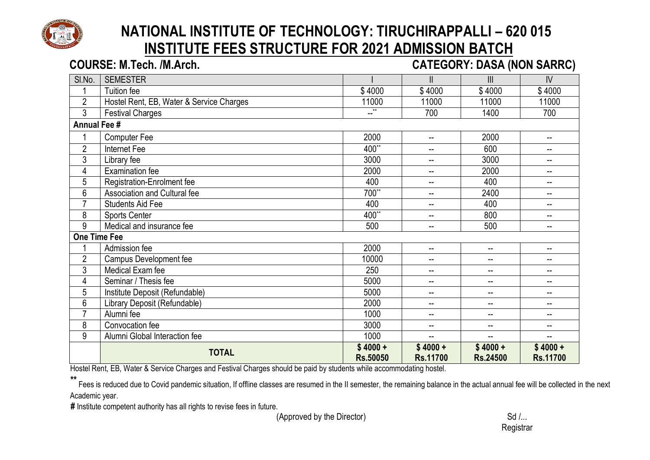

# **NATIONAL INSTITUTE OF TECHNOLOGY: TIRUCHIRAPPALLI – 620 015 INSTITUTE FEES STRUCTURE FOR 2021 ADMISSION BATCH COURSE: M.Tech. /M.Arch. CATEGORY: DASA (NON SARRC)**

## Sl.No. SEMESTER I II III IV 1 | Tuition fee | \$ 4000 | \$ 4000 | \$ 4000 | \$ 4000 2 | Hostel Rent, EB, Water & Service Charges | 11000 | 11000 | 11000 | 11000 | 11000 3 Festival Charges 200 1400 1400 700 1400 700 **Annual Fee #** 1 Computer Fee 2000 | 2000 | 2000 | 2000 | 2000 | 2000 | 2000 | 2000 | 2000 | 200 2 Internet Fee 400\*\* -- 600 -- 3 Library fee 3000 -- 3000 -- 4 Examination fee 2000 -- 2000 -- 5 Registration-Enrolment fee 400 -- 400 --

#### 6 Association and Cultural fee 700<sup>\*\*</sup> 1 -- 2400 --7 | Students Aid Fee | 400 | -- | 400 | --8 Sports Center 400\*\* -- 800 -- 9 Medical and insurance fee 500 -- 500 -- 500 -- 500 --**One Time Fee** 1 Admission fee 2000 -- -- -- 2 Campus Development fee 10000 -- -- -- 3 | Medical Exam fee 250 | 250 | 250 | 250 | 250 | 250 | 250 | 250 | 250 | 250 | 250 | 250 | 250 | 250 | 250 | 250 | 250 | 250 | 250 | 250 | 250 | 250 | 250 | 250 | 250 | 250 | 250 | 250 | 250 | 250 | 250 | 250 | 250 | 250 4 Seminar / Thesis fee 5000 -- -- -- 5 Institute Deposit (Refundable) 40 Contract to the South of the South Contract of the Contract of the Contract of the Contract of the Contract of the Contract of the Contract of the Contract of the Contract of the Contrac 6 | Library Deposit (Refundable) | 2000 | -- | -- | --

7 Alumni fee 1000 -- -- -- 8 Convocation fee 3000 -- -- --

**TOTAL \$ 4000 +**

Hostel Rent, EB, Water & Service Charges and Festival Charges should be paid by students while accommodating hostel.

9 Alumni Global Interaction fee 1000

.<br>Fees is reduced due to Covid pandemic situation. If offline classes are resumed in the II semester, the remaining balance in the actual annual fee will be collected in the next Academic year.

**Rs.50050**

**\$ 4000 + Rs.11700**

**#** Institute competent authority has all rights to revise fees in future.

**(Approved by the Director) Sd /...** 

**\$ 4000 + Rs.11700**

**\$ 4000 + Rs.24500**